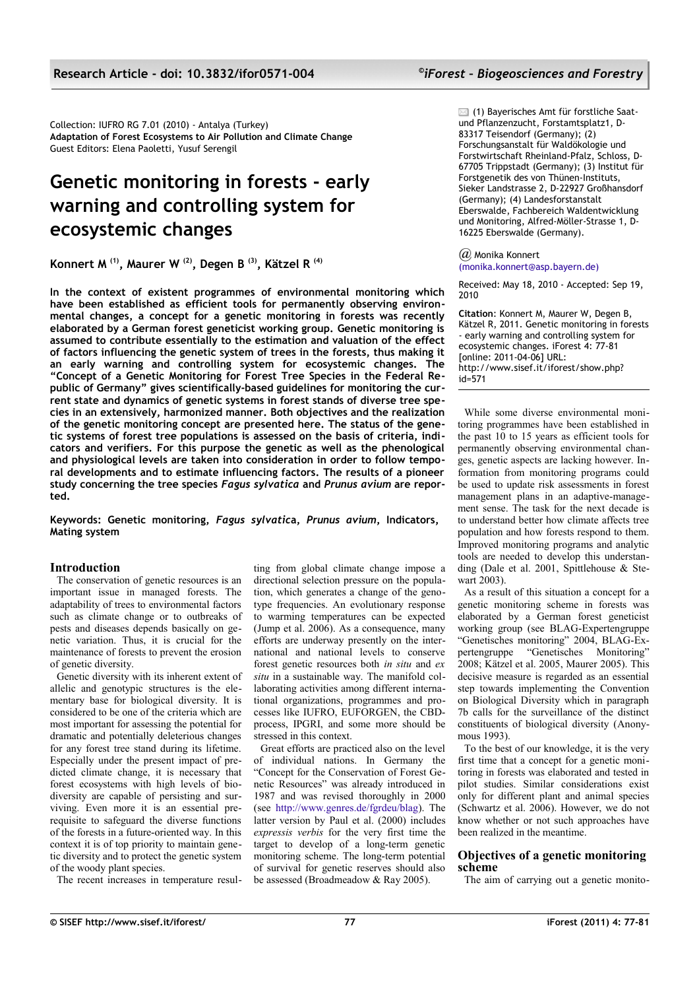Collection: IUFRO RG 7.01 (2010) - Antalya (Turkey) **Adaptation of Forest Ecosystems to Air Pollution and Climate Change** Guest Editors: Elena Paoletti, Yusuf Serengil

# **Genetic monitoring in forests - early warning and controlling system for ecosystemic changes**

**Konnert M (1), Maurer W (2), Degen B (3), Kätzel R (4)**

**In the context of existent programmes of environmental monitoring which have been established as efficient tools for permanently observing environmental changes, a concept for a genetic monitoring in forests was recently elaborated by a German forest geneticist working group. Genetic monitoring is assumed to contribute essentially to the estimation and valuation of the effect of factors influencing the genetic system of trees in the forests, thus making it an early warning and controlling system for ecosystemic changes. The "Concept of a Genetic Monitoring for Forest Tree Species in the Federal Republic of Germany" gives scientifically-based guidelines for monitoring the current state and dynamics of genetic systems in forest stands of diverse tree species in an extensively, harmonized manner. Both objectives and the realization of the genetic monitoring concept are presented here. The status of the genetic systems of forest tree populations is assessed on the basis of criteria, indicators and verifiers. For this purpose the genetic as well as the phenological and physiological levels are taken into consideration in order to follow temporal developments and to estimate influencing factors. The results of a pioneer study concerning the tree species** *Fagus sylvatica* **and** *Prunus avium* **are reported.**

**Keywords: Genetic monitoring,** *Fagus sylvatic***a,** *Prunus avium***, Indicators, Mating system**

# **Introduction**

The conservation of genetic resources is an important issue in managed forests. The adaptability of trees to environmental factors such as climate change or to outbreaks of pests and diseases depends basically on genetic variation. Thus, it is crucial for the maintenance of forests to prevent the erosion of genetic diversity.

Genetic diversity with its inherent extent of allelic and genotypic structures is the elementary base for biological diversity. It is considered to be one of the criteria which are most important for assessing the potential for dramatic and potentially deleterious changes for any forest tree stand during its lifetime. Especially under the present impact of predicted climate change, it is necessary that forest ecosystems with high levels of biodiversity are capable of persisting and surviving. Even more it is an essential prerequisite to safeguard the diverse functions of the forests in a future-oriented way. In this context it is of top priority to maintain genetic diversity and to protect the genetic system of the woody plant species.

The recent increases in temperature resul-

ting from global climate change impose a directional selection pressure on the population, which generates a change of the genotype frequencies. An evolutionary response to warming temperatures can be expected (Jump et al.  $2006$ ). As a consequence, many efforts are underway presently on the international and national levels to conserve forest genetic resources both *in situ* and *ex situ* in a sustainable way. The manifold collaborating activities among different international organizations, programmes and processes like IUFRO, EUFORGEN, the CBDprocess, IPGRI, and some more should be stressed in this context.

Great efforts are practiced also on the level of individual nations. In Germany the "Concept for the Conservation of Forest Genetic Resources" was already introduced in 1987 and was revised thoroughly in 2000 (see [http://www.genres.de/fgrdeu/blag\)](http://www.genres.de/fgrdeu/blag). The latter version by Paul et al. (2000) includes *expressis verbis* for the very first time the target to develop of a long-term genetic monitoring scheme. The long-term potential of survival for genetic reserves should also be assessed (Broadmeadow & Ray 2005).

 $\boxtimes$  (1) Bayerisches Amt für forstliche Saatund Pflanzenzucht, Forstamtsplatz1, D-83317 Teisendorf (Germany); (2) Forschungsanstalt für Waldökologie und Forstwirtschaft Rheinland-Pfalz, Schloss, D-67705 Trippstadt (Germany); (3) Institut für Forstgenetik des von Thünen-Instituts, Sieker Landstrasse 2, D-22927 Großhansdorf (Germany); (4) Landesforstanstalt Eberswalde, Fachbereich Waldentwicklung und Monitoring, Alfred-Möller-Strasse 1, D-16225 Eberswalde (Germany).

*@* Monika Konner[t](mailto:monika.konnert@asp.bayern.de) [\(monika.konnert@asp.bayern.de\)](mailto:monika.konnert@asp.bayern.de)

Received: May 18, 2010 - Accepted: Sep 19, 2010

**Citation**: Konnert M, Maurer W, Degen B, Kätzel R, 2011. Genetic monitoring in forests - early warning and controlling system for ecosystemic changes. iForest 4: 77-81 [online: 2011-04-06] URL: http://www.sisef.it/iforest/show.php? id=571

While some diverse environmental monitoring programmes have been established in the past 10 to 15 years as efficient tools for permanently observing environmental changes, genetic aspects are lacking however. Information from monitoring programs could be used to update risk assessments in forest management plans in an adaptive-management sense. The task for the next decade is to understand better how climate affects tree population and how forests respond to them. Improved monitoring programs and analytic tools are needed to develop this understanding (Dale et al. 2001, Spittlehouse & Stewart 2003).

As a result of this situation a concept for a genetic monitoring scheme in forests was elaborated by a German forest geneticist working group (see BLAG-Expertengruppe "Genetisches monitoring" 2004, BLAG-Expertengruppe "Genetisches Monitoring" 2008; Kätzel et al. 2005, Maurer 2005). This decisive measure is regarded as an essential step towards implementing the Convention on Biological Diversity which in paragraph 7b calls for the surveillance of the distinct constituents of biological diversity (Anonymous 1993).

To the best of our knowledge, it is the very first time that a concept for a genetic monitoring in forests was elaborated and tested in pilot studies. Similar considerations exist only for different plant and animal species (Schwartz et al. 2006). However, we do not know whether or not such approaches have been realized in the meantime.

# **Objectives of a genetic monitoring scheme**

The aim of carrying out a genetic monito-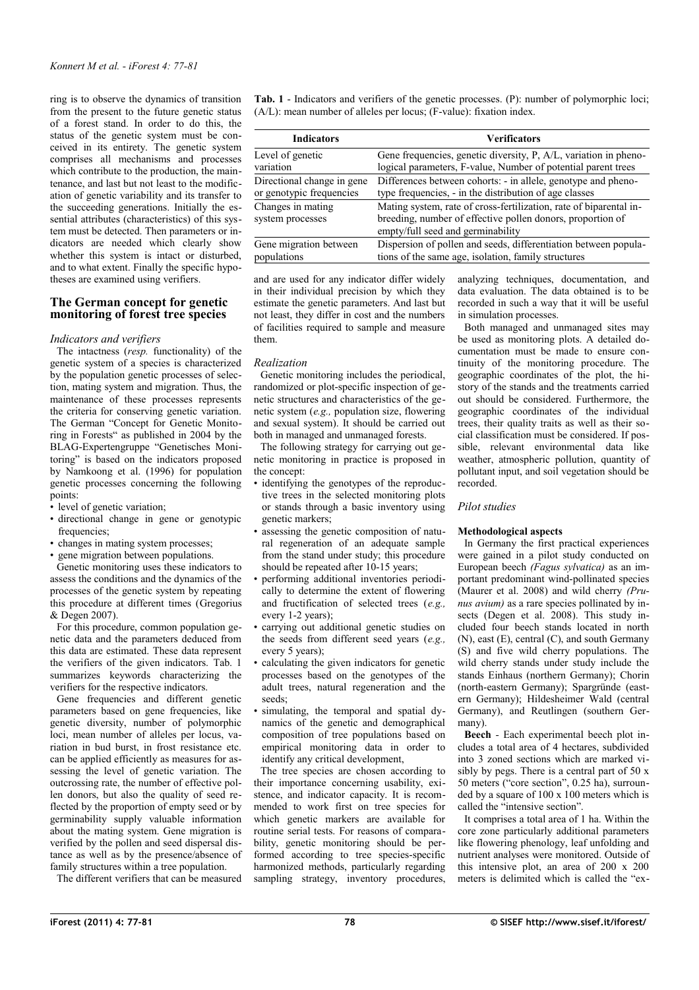ring is to observe the dynamics of transition from the present to the future genetic status of a forest stand. In order to do this, the status of the genetic system must be conceived in its entirety. The genetic system comprises all mechanisms and processes which contribute to the production, the maintenance, and last but not least to the modification of genetic variability and its transfer to the succeeding generations. Initially the essential attributes (characteristics) of this system must be detected. Then parameters or indicators are needed which clearly show whether this system is intact or disturbed. and to what extent. Finally the specific hypotheses are examined using verifiers.

## **The German concept for genetic monitoring of forest tree species**

#### *Indicators and verifiers*

The intactness (*resp.* functionality) of the genetic system of a species is characterized by the population genetic processes of selection, mating system and migration. Thus, the maintenance of these processes represents the criteria for conserving genetic variation. The German "Concept for Genetic Monitoring in Forests" as published in 2004 by the BLAG-Expertengruppe "Genetisches Monitoring" is based on the indicators proposed by Namkoong et al. (1996) for population genetic processes concerning the following points:

- level of genetic variation;
- directional change in gene or genotypic frequencies:
- changes in mating system processes;
- gene migration between populations.

Genetic monitoring uses these indicators to assess the conditions and the dynamics of the processes of the genetic system by repeating this procedure at different times (Gregorius & Degen 2007).

For this procedure, common population genetic data and the parameters deduced from this data are estimated. These data represent the verifiers of the given indicators. [Tab. 1](#page-1-0) summarizes keywords characterizing the verifiers for the respective indicators.

Gene frequencies and different genetic parameters based on gene frequencies, like genetic diversity, number of polymorphic loci, mean number of alleles per locus, variation in bud burst, in frost resistance etc. can be applied efficiently as measures for assessing the level of genetic variation. The outcrossing rate, the number of effective pollen donors, but also the quality of seed reflected by the proportion of empty seed or by germinability supply valuable information about the mating system. Gene migration is verified by the pollen and seed dispersal distance as well as by the presence/absence of family structures within a tree population.

The different verifiers that can be measured

<span id="page-1-0"></span>**Tab. 1** - Indicators and verifiers of the genetic processes. (P): number of polymorphic loci; (A/L): mean number of alleles per locus; (F-value): fixation index.

| <b>Indicators</b>                     | <b>Verificators</b>                                                                                                                                                   |  |
|---------------------------------------|-----------------------------------------------------------------------------------------------------------------------------------------------------------------------|--|
| Level of genetic                      | Gene frequencies, genetic diversity, P, A/L, variation in pheno-                                                                                                      |  |
| variation                             | logical parameters, F-value, Number of potential parent trees                                                                                                         |  |
| Directional change in gene            | Differences between cohorts: - in allele, genotype and pheno-                                                                                                         |  |
| or genotypic frequencies              | type frequencies, - in the distribution of age classes                                                                                                                |  |
| Changes in mating<br>system processes | Mating system, rate of cross-fertilization, rate of biparental in-<br>breeding, number of effective pollen donors, proportion of<br>empty/full seed and germinability |  |
| Gene migration between                | Dispersion of pollen and seeds, differentiation between popula-                                                                                                       |  |
| populations                           | tions of the same age, isolation, family structures                                                                                                                   |  |

and are used for any indicator differ widely in their individual precision by which they estimate the genetic parameters. And last but not least, they differ in cost and the numbers of facilities required to sample and measure them.

### *Realization*

Genetic monitoring includes the periodical, randomized or plot-specific inspection of genetic structures and characteristics of the genetic system (*e.g.,* population size, flowering and sexual system). It should be carried out both in managed and unmanaged forests.

The following strategy for carrying out genetic monitoring in practice is proposed in the concept:

- identifying the genotypes of the reproductive trees in the selected monitoring plots or stands through a basic inventory using genetic markers;
- assessing the genetic composition of natural regeneration of an adequate sample from the stand under study; this procedure should be repeated after 10-15 years;
- performing additional inventories periodically to determine the extent of flowering and fructification of selected trees (*e.g.,* every 1-2 years);
- carrying out additional genetic studies on the seeds from different seed years (*e.g.,* every 5 years);
- calculating the given indicators for genetic processes based on the genotypes of the adult trees, natural regeneration and the seeds;
- simulating, the temporal and spatial dynamics of the genetic and demographical composition of tree populations based on empirical monitoring data in order to identify any critical development,

The tree species are chosen according to their importance concerning usability, existence, and indicator capacity. It is recommended to work first on tree species for which genetic markers are available for routine serial tests. For reasons of comparability, genetic monitoring should be performed according to tree species-specific harmonized methods, particularly regarding sampling strategy, inventory procedures, analyzing techniques, documentation, and data evaluation. The data obtained is to be recorded in such a way that it will be useful in simulation processes.

Both managed and unmanaged sites may be used as monitoring plots. A detailed documentation must be made to ensure continuity of the monitoring procedure. The geographic coordinates of the plot, the history of the stands and the treatments carried out should be considered. Furthermore, the geographic coordinates of the individual trees, their quality traits as well as their social classification must be considered. If possible, relevant environmental data like weather, atmospheric pollution, quantity of pollutant input, and soil vegetation should be recorded.

### *Pilot studies*

### **Methodological aspects**

In Germany the first practical experiences were gained in a pilot study conducted on European beech *(Fagus sylvatica)* as an important predominant wind-pollinated species (Maurer et al. 2008) and wild cherry *(Prunus avium)* as a rare species pollinated by insects (Degen et al. 2008). This study included four beech stands located in north (N), east (E), central (C), and south Germany (S) and five wild cherry populations. The wild cherry stands under study include the stands Einhaus (northern Germany); Chorin (north-eastern Germany); Spargründe (eastern Germany); Hildesheimer Wald (central Germany), and Reutlingen (southern Germany).

**Beech** *-* Each experimental beech plot includes a total area of 4 hectares, subdivided into 3 zoned sections which are marked visibly by pegs. There is a central part of 50 x 50 meters ("core section", 0.25 ha), surrounded by a square of 100 x 100 meters which is called the "intensive section".

It comprises a total area of 1 ha. Within the core zone particularly additional parameters like flowering phenology, leaf unfolding and nutrient analyses were monitored. Outside of this intensive plot, an area of 200 x 200 meters is delimited which is called the "ex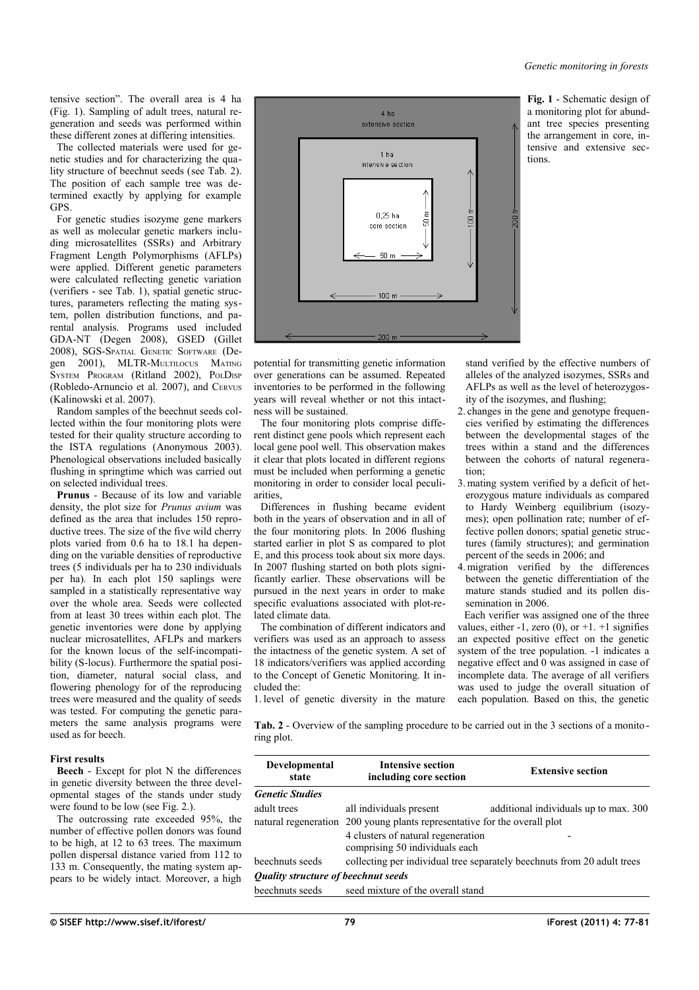tensive section". The overall area is 4 ha [\(Fig. 1\)](#page-2-1). Sampling of adult trees, natural regeneration and seeds was performed within these different zones at differing intensities.

The collected materials were used for genetic studies and for characterizing the quality structure of beechnut seeds (see [Tab. 2\)](#page-2-0). The position of each sample tree was determined exactly by applying for example GPS.

For genetic studies isozyme gene markers as well as molecular genetic markers including microsatellites (SSRs) and Arbitrary Fragment Length Polymorphisms (AFLPs) were applied. Different genetic parameters were calculated reflecting genetic variation (verifiers - see [Tab. 1\)](#page-1-0), spatial genetic structures, parameters reflecting the mating system, pollen distribution functions, and parental analysis. Programs used included GDA-NT (Degen 2008), GSED (Gillet 2008), SGS-SPATIAL GENETIC SOFTWARE (Degen 2001), MLTR-MULTILOCUS MATING SYSTEM PROGRAM (Ritland 2002), POLDISP (Robledo-Arnuncio et al. 2007), and CERVUS (Kalinowski et al. 2007).

Random samples of the beechnut seeds collected within the four monitoring plots were tested for their quality structure according to the ISTA regulations (Anonymous 2003). Phenological observations included basically flushing in springtime which was carried out on selected individual trees.

**Prunus** *-* Because of its low and variable density, the plot size for *Prunus avium* was defined as the area that includes 150 reproductive trees. The size of the five wild cherry plots varied from 0.6 ha to 18.1 ha depending on the variable densities of reproductive trees (5 individuals per ha to 230 individuals per ha). In each plot 150 saplings were sampled in a statistically representative way over the whole area. Seeds were collected from at least 30 trees within each plot. The genetic inventories were done by applying nuclear microsatellites, AFLPs and markers for the known locus of the self-incompatibility (S-locus). Furthermore the spatial position, diameter, natural social class, and flowering phenology for of the reproducing trees were measured and the quality of seeds was tested. For computing the genetic parameters the same analysis programs were used as for beech.

#### **First results**

**Beech** - Except for plot N the differences in genetic diversity between the three developmental stages of the stands under study were found to be low (see [Fig. 2.](#page-3-0)).

The outcrossing rate exceeded 95%, the number of effective pollen donors was found to be high, at 12 to 63 trees. The maximum pollen dispersal distance varied from 112 to 133 m. Consequently, the mating system appears to be widely intact. Moreover, a high



potential for transmitting genetic information over generations can be assumed. Repeated inventories to be performed in the following years will reveal whether or not this intactness will be sustained.

The four monitoring plots comprise different distinct gene pools which represent each local gene pool well. This observation makes it clear that plots located in different regions must be included when performing a genetic monitoring in order to consider local peculiarities,

Differences in flushing became evident both in the years of observation and in all of the four monitoring plots. In 2006 flushing started earlier in plot S as compared to plot E, and this process took about six more days. In 2007 flushing started on both plots significantly earlier. These observations will be pursued in the next years in order to make specific evaluations associated with plot-related climate data.

The combination of different indicators and verifiers was used as an approach to assess the intactness of the genetic system. A set of 18 indicators/verifiers was applied according to the Concept of Genetic Monitoring. It included the:

1. level of genetic diversity in the mature

<span id="page-2-1"></span>stand verified by the effective numbers of alleles of the analyzed isozymes, SSRs and AFLPs as well as the level of heterozygosity of the isozymes, and flushing;

- 2. changes in the gene and genotype frequencies verified by estimating the differences between the developmental stages of the trees within a stand and the differences between the cohorts of natural regeneration;
- 3. mating system verified by a deficit of heterozygous mature individuals as compared to Hardy Weinberg equilibrium (isozymes); open pollination rate; number of effective pollen donors; spatial genetic structures (family structures); and germination percent of the seeds in 2006; and
- 4. migration verified by the differences between the genetic differentiation of the mature stands studied and its pollen dissemination in 2006.

Each verifier was assigned one of the three values, either -1, zero  $(0)$ , or  $+1$ ,  $+1$  signifies an expected positive effect on the genetic system of the tree population. -1 indicates a negative effect and 0 was assigned in case of incomplete data. The average of all verifiers was used to judge the overall situation of each population. Based on this, the genetic

<span id="page-2-0"></span>**Tab. 2** - Overview of the sampling procedure to be carried out in the 3 sections of a monito ring plot.

| Developmental<br>state                     | <b>Intensive section</b><br>including core section                        | <b>Extensive section</b>              |  |
|--------------------------------------------|---------------------------------------------------------------------------|---------------------------------------|--|
| <b>Genetic Studies</b>                     |                                                                           |                                       |  |
| adult trees                                | all individuals present                                                   | additional individuals up to max. 300 |  |
|                                            | natural regeneration 200 young plants representative for the overall plot |                                       |  |
|                                            | 4 clusters of natural regeneration<br>comprising 50 individuals each      |                                       |  |
| beechnuts seeds                            | collecting per individual tree separately beechnuts from 20 adult trees   |                                       |  |
| <b>Ouality structure of beechnut seeds</b> |                                                                           |                                       |  |
| beechnuts seeds                            | seed mixture of the overall stand                                         |                                       |  |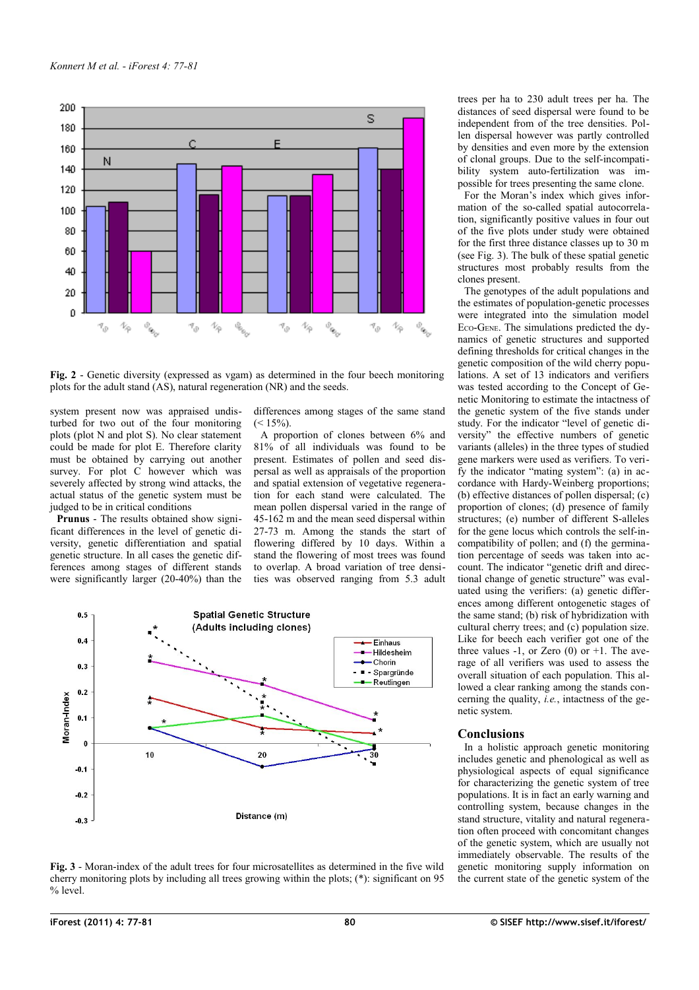

<span id="page-3-0"></span>**Fig. 2** - Genetic diversity (expressed as vgam) as determined in the four beech monitoring plots for the adult stand (AS), natural regeneration (NR) and the seeds.

system present now was appraised undisturbed for two out of the four monitoring plots (plot N and plot S). No clear statement could be made for plot E. Therefore clarity must be obtained by carrying out another survey. For plot C however which was severely affected by strong wind attacks, the actual status of the genetic system must be judged to be in critical conditions

**Prunus** - The results obtained show significant differences in the level of genetic diversity, genetic differentiation and spatial genetic structure. In all cases the genetic differences among stages of different stands were significantly larger (20-40%) than the differences among stages of the same stand  $(< 15\%)$ .

A proportion of clones between 6% and 81% of all individuals was found to be present. Estimates of pollen and seed dispersal as well as appraisals of the proportion and spatial extension of vegetative regeneration for each stand were calculated. The mean pollen dispersal varied in the range of 45-162 m and the mean seed dispersal within 27-73 m. Among the stands the start of flowering differed by 10 days. Within a stand the flowering of most trees was found to overlap. A broad variation of tree densities was observed ranging from 5.3 adult



<span id="page-3-1"></span>**Fig. 3** - Moran-index of the adult trees for four microsatellites as determined in the five wild cherry monitoring plots by including all trees growing within the plots; (\*): significant on 95 % level.

trees per ha to 230 adult trees per ha. The distances of seed dispersal were found to be independent from of the tree densities. Pollen dispersal however was partly controlled by densities and even more by the extension of clonal groups. Due to the self-incompatibility system auto-fertilization was impossible for trees presenting the same clone.

For the Moran's index which gives information of the so-called spatial autocorrelation, significantly positive values in four out of the five plots under study were obtained for the first three distance classes up to 30 m (see [Fig. 3\)](#page-3-1). The bulk of these spatial genetic structures most probably results from the clones present.

The genotypes of the adult populations and the estimates of population-genetic processes were integrated into the simulation model ECO-GENE. The simulations predicted the dynamics of genetic structures and supported defining thresholds for critical changes in the genetic composition of the wild cherry populations. A set of 13 indicators and verifiers was tested according to the Concept of Genetic Monitoring to estimate the intactness of the genetic system of the five stands under study. For the indicator "level of genetic diversity" the effective numbers of genetic variants (alleles) in the three types of studied gene markers were used as verifiers. To verify the indicator "mating system": (a) in accordance with Hardy-Weinberg proportions; (b) effective distances of pollen dispersal; (c) proportion of clones; (d) presence of family structures; (e) number of different S-alleles for the gene locus which controls the self-incompatibility of pollen; and (f) the germination percentage of seeds was taken into account. The indicator "genetic drift and directional change of genetic structure" was evaluated using the verifiers: (a) genetic differences among different ontogenetic stages of the same stand; (b) risk of hybridization with cultural cherry trees; and (c) population size. Like for beech each verifier got one of the three values  $-1$ , or Zero (0) or  $+1$ . The average of all verifiers was used to assess the overall situation of each population. This allowed a clear ranking among the stands concerning the quality, *i.e.*, intactness of the genetic system.

### **Conclusions**

In a holistic approach genetic monitoring includes genetic and phenological as well as physiological aspects of equal significance for characterizing the genetic system of tree populations. It is in fact an early warning and controlling system, because changes in the stand structure, vitality and natural regeneration often proceed with concomitant changes of the genetic system, which are usually not immediately observable. The results of the genetic monitoring supply information on the current state of the genetic system of the